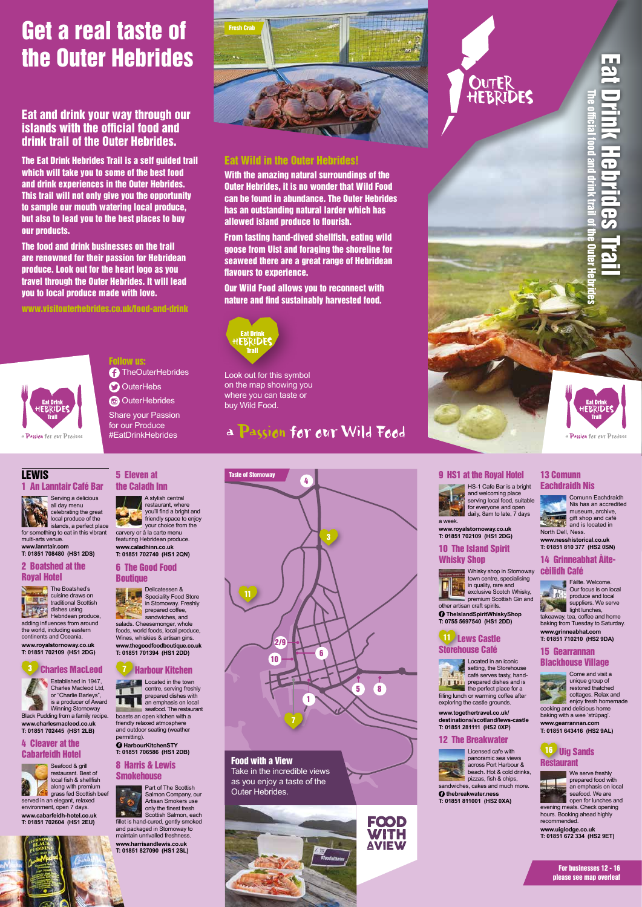



a Passion for our Produce

1

7

# **OUTER**

# Get a real taste of the Outer Hebrides

## Eat and drink your way through our islands with the official food and drink trail of the Outer Hebrides.

The Eat Drink Hebrides Trail is a self guided trail which will take you to some of the best food and drink experiences in the Outer Hebrides. This trail will not only give you the opportunity to sample our mouth watering local produce, but also to lead you to the best places to buy our products.

> **TheOuterHebrides O** OuterHebs **O** OuterHebrides Share your Passion for our Produce

The food and drink businesses on the trail are renowned for their passion for Hebridean produce. Look out for the heart logo as you travel through the Outer Hebrides. It will lead you to local produce made with love.

www.visitouterhebrides.co.uk/food-and-drink





## Follow us:

#EatDrinkHebrides

#### Eat Wild in the Outer Hebrides!

With the amazing natural surroundings of the Outer Hebrides, it is no wonder that Wild Food can be found in abundance. The Outer Hebrides has an outstanding natural larder which has allowed island produce to flourish.

From tasting hand-dived shellfish, eating wild goose from Uist and foraging the shoreline for seaweed there are a great range of Hebridean flavours to experience.

#### 6 The Good Food **Boutique**

Our Wild Food allows you to reconnect with nature and find sustainably harvested food.



Look out for this symbol on the map showing you where you can taste or buy Wild Food.

## a Passion for our Wild Food

7 Harbour Kitchen **Located in the town** 



#### 1 An Lanntair Café Bar

#### 8 Harris & Lewis **Smokehouse**



**www.lanntair.com T: 01851 708480 (HS1 2DS)**

#### 2 Boatshed at the Royal Hotel



dishes using Hebridean produce, adding influences from around

the world, including eastern continents and Oceania. **www.royalstornoway.co.uk T: 01851 702109 (HS1 2DG)**

#### **11** Lews Castle Storehouse Café



 $\blacksquare$  the perfect place for a filling lunch or warming coffee after exploring the castle grounds.

is a producer of Award Winning Stornoway

Black Pudding from a family recipe. **www.charlesmacleod.co.uk T: 01851 702445 (HS1 2LB)**

#### 4 Cleaver at the Cabarfeidh Hotel



restaurant. Best of local fish & shellfish along with premium grass fed Scottish beef served in an elegant, relaxed environment, open 7 days.

**www.cabarfeidh-hotel.co.uk T: 01851 702604 (HS1 2EU)**

#### 5 Eleven at the Caladh Inn

We serve freshly prepared food with an emphasis on local seafood. We are open for lunches and

A stylish central restaurant, where you'll find a bright and friendly space to enjoy your choice from the carvery or à la carte menu featuring Hebridean produce. **www.caladhinn.co.uk T: 01851 702740 (HS1 2QN)**

Delicatessen & Speciality Food Store in Stornoway. Freshly prepared coffee, sandwiches, and salads. Cheesemonger, whole foods, world foods, local produce, Wines, whiskies & artisan gins. **www.thegoodfoodboutique.co.uk T: 01851 701394 (HS1 2DD)**

centre, serving freshly prepared dishes with Ш an emphasis on local seafood. The restaurant boasts an open kitchen with a friendly relaxed atmosphere and outdoor seating (weather



**HarbourKitchenSTY T: 01851 706586 (HS1 2DB)**

Part of The Scottish Salmon Company, our Artisan Smokers use only the finest fresh ٠ Scottish Salmon, each fillet is hand-cured, gently smoked and packaged in Stornoway to maintain unrivalled freshness. **www.harrisandlewis.co.uk T: 01851 827090 (HS1 2SL)**

#### 9 HS1 at the Royal Hotel



HS-1 Cafe Bar is a bright and welcoming place serving local food, suitable for everyone and open daily, 8am to late, 7 days

a week. **www.royalstornoway.co.uk T: 01851 702109 (HS1 2DG)** 

#### 10 The Island Spirit

#### Whisky Shop



exclusive Scotch Whisky, premium Scottish Gin and other artisan craft spirits.

**TheIslandSpiritWhiskyShop T: 0755 5697540 (HS1 2DD)**



**www.togethertravel.co.uk/ destinations/scotland/lews-castle T: 01851 281111 (HS2 0XP)** 

#### 12 The Breakwater



Licensed cafe with panoramic sea views across Port Harbour & beach. Hot & cold drinks, pizzas, fish & chips,

sandwiches, cakes and much more. **thebreakwater.ness** 

**T: 01851 811001 (HS2 0XA)**



13 Comunn Eachdraidh Nis Comunn Eachdraidh



and is located in North Dell, Ness. **www.nesshistorical.co.uk**

#### **T: 01851 810 377 (HS2 0SN)** 14 Grinneabhat Àite-

## cèilidh Café



takeaway, tea, coffee and home baking from Tuesday to Saturday. **www.grinneabhat.com T: 01851 710210 (HS2 9DA)** 

#### 15 Gearrannan Blackhouse Village

Come and visit a unique group of restored thatched cottages. Relax and enjoy fresh homemade cooking and delicious home baking with a wee 'strùpag'. **www.gearrannan.com T: 01851 643416 (HS2 9AL)**

16 Uig Sands Restaurant



evening meals. Check opening hours. Booking ahead highly recommended.

**www.uiglodge.co.uk T: 01851 672 334 (HS2 9ET)**

> For businesses 12 - 16 please see map overleaf

#### Food with a View Take in the incredible views as you enjoy a taste of the Outer Hebrides.



FOOD WITH